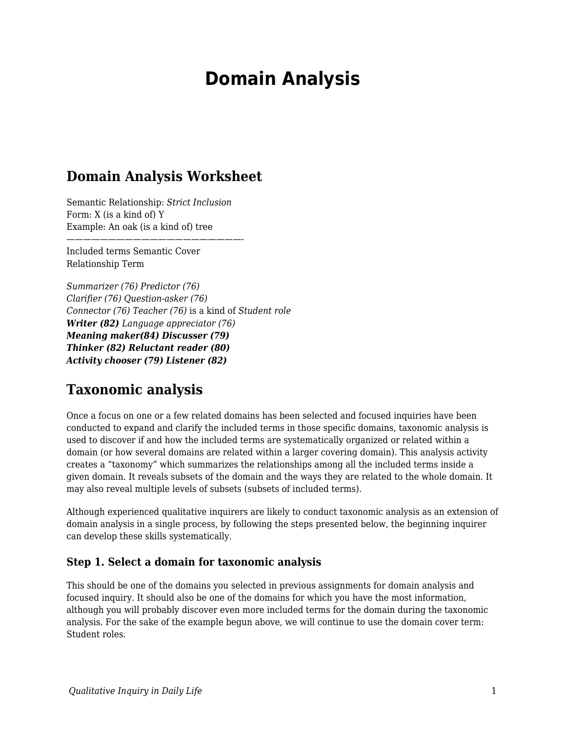# **Domain Analysis**

## **Domain Analysis Worksheet**

Semantic Relationship: *Strict Inclusion* Form: X (is a kind of) Y Example: An oak (is a kind of) tree

—————————————————————-

Included terms Semantic Cover Relationship Term

*Summarizer (76) Predictor (76) Clarifier (76) Question-asker (76) Connector (76) Teacher (76)* is a kind of *Student role Writer (82) Language appreciator (76) Meaning maker(84) Discusser (79) Thinker (82) Reluctant reader (80) Activity chooser (79) Listener (82)*

## **Taxonomic analysis**

Once a focus on one or a few related domains has been selected and focused inquiries have been conducted to expand and clarify the included terms in those specific domains, taxonomic analysis is used to discover if and how the included terms are systematically organized or related within a domain (or how several domains are related within a larger covering domain). This analysis activity creates a "taxonomy" which summarizes the relationships among all the included terms inside a given domain. It reveals subsets of the domain and the ways they are related to the whole domain. It may also reveal multiple levels of subsets (subsets of included terms).

Although experienced qualitative inquirers are likely to conduct taxonomic analysis as an extension of domain analysis in a single process, by following the steps presented below, the beginning inquirer can develop these skills systematically.

#### **Step 1. Select a domain for taxonomic analysis**

This should be one of the domains you selected in previous assignments for domain analysis and focused inquiry. It should also be one of the domains for which you have the most information, although you will probably discover even more included terms for the domain during the taxonomic analysis. For the sake of the example begun above, we will continue to use the domain cover term: Student roles.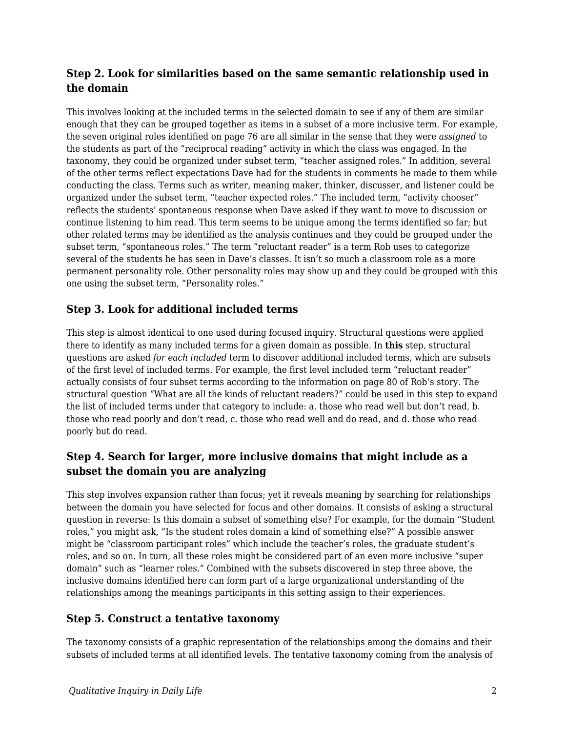### **Step 2. Look for similarities based on the same semantic relationship used in the domain**

This involves looking at the included terms in the selected domain to see if any of them are similar enough that they can be grouped together as items in a subset of a more inclusive term. For example, the seven original roles identified on page 76 are all similar in the sense that they were *assigned* to the students as part of the "reciprocal reading" activity in which the class was engaged. In the taxonomy, they could be organized under subset term, "teacher assigned roles." In addition, several of the other terms reflect expectations Dave had for the students in comments he made to them while conducting the class. Terms such as writer, meaning maker, thinker, discusser, and listener could be organized under the subset term, "teacher expected roles." The included term, "activity chooser" reflects the students' spontaneous response when Dave asked if they want to move to discussion or continue listening to him read. This term seems to be unique among the terms identified so far; but other related terms may be identified as the analysis continues and they could be grouped under the subset term, "spontaneous roles." The term "reluctant reader" is a term Rob uses to categorize several of the students he has seen in Dave's classes. It isn't so much a classroom role as a more permanent personality role. Other personality roles may show up and they could be grouped with this one using the subset term, "Personality roles."

### **Step 3. Look for additional included terms**

This step is almost identical to one used during focused inquiry. Structural questions were applied there to identify as many included terms for a given domain as possible. In **this** step, structural questions are asked *for each included* term to discover additional included terms, which are subsets of the first level of included terms. For example, the first level included term "reluctant reader" actually consists of four subset terms according to the information on page 80 of Rob's story. The structural question "What are all the kinds of reluctant readers?" could be used in this step to expand the list of included terms under that category to include: a. those who read well but don't read, b. those who read poorly and don't read, c. those who read well and do read, and d. those who read poorly but do read.

## **Step 4. Search for larger, more inclusive domains that might include as a subset the domain you are analyzing**

This step involves expansion rather than focus; yet it reveals meaning by searching for relationships between the domain you have selected for focus and other domains. It consists of asking a structural question in reverse: Is this domain a subset of something else? For example, for the domain "Student roles," you might ask, "Is the student roles domain a kind of something else?" A possible answer might be "classroom participant roles" which include the teacher's roles, the graduate student's roles, and so on. In turn, all these roles might be considered part of an even more inclusive "super domain" such as "learner roles." Combined with the subsets discovered in step three above, the inclusive domains identified here can form part of a large organizational understanding of the relationships among the meanings participants in this setting assign to their experiences.

#### **Step 5. Construct a tentative taxonomy**

The taxonomy consists of a graphic representation of the relationships among the domains and their subsets of included terms at all identified levels. The tentative taxonomy coming from the analysis of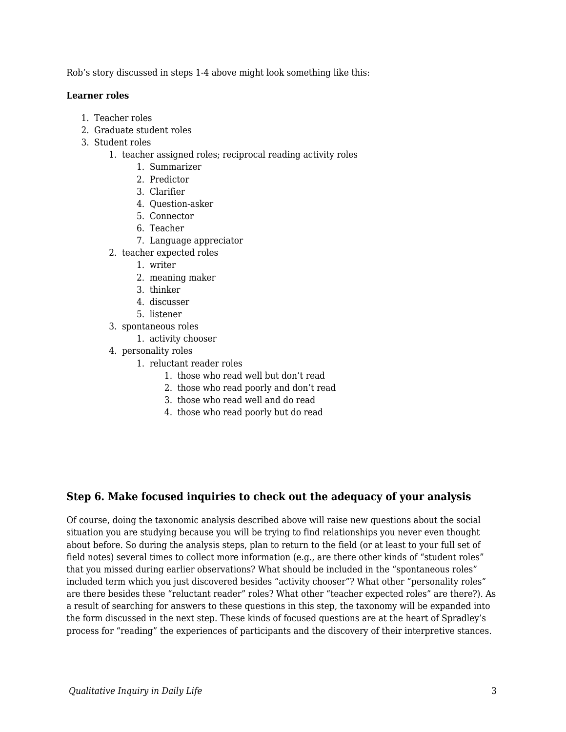Rob's story discussed in steps 1-4 above might look something like this:

#### **Learner roles**

- 1. Teacher roles
- 2. Graduate student roles
- 3. Student roles
	- 1. teacher assigned roles; reciprocal reading activity roles
		- 1. Summarizer
		- 2. Predictor
		- 3. Clarifier
		- 4. Question-asker
		- 5. Connector
		- 6. Teacher
		- 7. Language appreciator
	- 2. teacher expected roles
		- 1. writer
		- 2. meaning maker
		- 3. thinker
		- 4. discusser
		- 5. listener
	- 3. spontaneous roles
		- 1. activity chooser
	- 4. personality roles
		- 1. reluctant reader roles
			- 1. those who read well but don't read
			- 2. those who read poorly and don't read
			- 3. those who read well and do read
			- 4. those who read poorly but do read

#### **Step 6. Make focused inquiries to check out the adequacy of your analysis**

Of course, doing the taxonomic analysis described above will raise new questions about the social situation you are studying because you will be trying to find relationships you never even thought about before. So during the analysis steps, plan to return to the field (or at least to your full set of field notes) several times to collect more information (e.g., are there other kinds of "student roles" that you missed during earlier observations? What should be included in the "spontaneous roles" included term which you just discovered besides "activity chooser"? What other "personality roles" are there besides these "reluctant reader" roles? What other "teacher expected roles" are there?). As a result of searching for answers to these questions in this step, the taxonomy will be expanded into the form discussed in the next step. These kinds of focused questions are at the heart of Spradley's process for "reading" the experiences of participants and the discovery of their interpretive stances.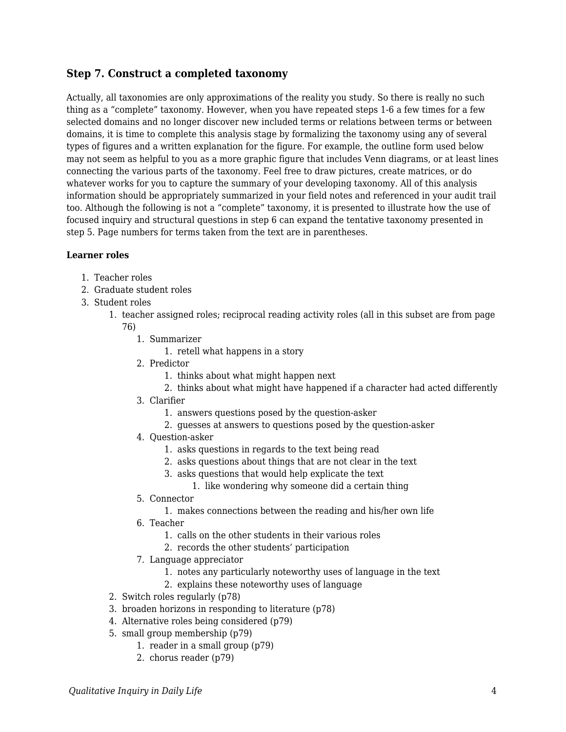#### **Step 7. Construct a completed taxonomy**

Actually, all taxonomies are only approximations of the reality you study. So there is really no such thing as a "complete" taxonomy. However, when you have repeated steps 1-6 a few times for a few selected domains and no longer discover new included terms or relations between terms or between domains, it is time to complete this analysis stage by formalizing the taxonomy using any of several types of figures and a written explanation for the figure. For example, the outline form used below may not seem as helpful to you as a more graphic figure that includes Venn diagrams, or at least lines connecting the various parts of the taxonomy. Feel free to draw pictures, create matrices, or do whatever works for you to capture the summary of your developing taxonomy. All of this analysis information should be appropriately summarized in your field notes and referenced in your audit trail too. Although the following is not a "complete" taxonomy, it is presented to illustrate how the use of focused inquiry and structural questions in step 6 can expand the tentative taxonomy presented in step 5. Page numbers for terms taken from the text are in parentheses.

#### **Learner roles**

- 1. Teacher roles
- 2. Graduate student roles
- 3. Student roles
	- 1. teacher assigned roles; reciprocal reading activity roles (all in this subset are from page
		- 76)
			- 1. Summarizer
				- 1. retell what happens in a story
			- 2. Predictor
				- 1. thinks about what might happen next
				- 2. thinks about what might have happened if a character had acted differently
			- 3. Clarifier
				- 1. answers questions posed by the question-asker
				- 2. guesses at answers to questions posed by the question-asker
			- 4. Question-asker
				- 1. asks questions in regards to the text being read
				- 2. asks questions about things that are not clear in the text
				- 3. asks questions that would help explicate the text
					- 1. like wondering why someone did a certain thing
			- 5. Connector
				- 1. makes connections between the reading and his/her own life
			- 6. Teacher
				- 1. calls on the other students in their various roles
				- 2. records the other students' participation
			- 7. Language appreciator
				- 1. notes any particularly noteworthy uses of language in the text
				- 2. explains these noteworthy uses of language
	- 2. Switch roles regularly (p78)
	- 3. broaden horizons in responding to literature (p78)
	- 4. Alternative roles being considered (p79)
	- 5. small group membership (p79)
		- 1. reader in a small group (p79)
		- 2. chorus reader (p79)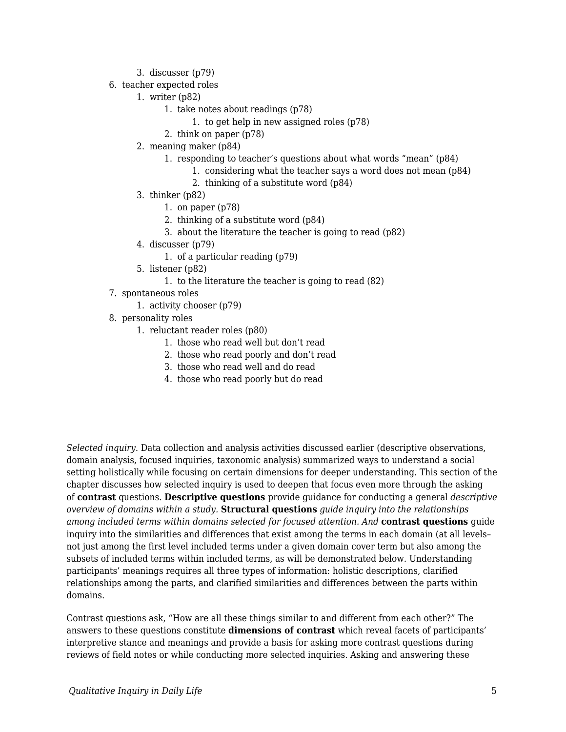- 3. discusser (p79)
- 6. teacher expected roles
	- 1. writer (p82)
		- 1. take notes about readings (p78)
			- 1. to get help in new assigned roles (p78)
		- 2. think on paper (p78)
	- 2. meaning maker (p84)
		- 1. responding to teacher's questions about what words "mean" (p84)
			- 1. considering what the teacher says a word does not mean (p84)
			- 2. thinking of a substitute word (p84)
	- 3. thinker (p82)
		- 1. on paper (p78)
		- 2. thinking of a substitute word (p84)
		- 3. about the literature the teacher is going to read (p82)
	- 4. discusser (p79)
		- 1. of a particular reading (p79)
	- 5. listener (p82)
		- 1. to the literature the teacher is going to read (82)
- 7. spontaneous roles
	- 1. activity chooser (p79)
- 8. personality roles
	- 1. reluctant reader roles (p80)
		- 1. those who read well but don't read
		- 2. those who read poorly and don't read
		- 3. those who read well and do read
		- 4. those who read poorly but do read

*Selected inquiry.* Data collection and analysis activities discussed earlier (descriptive observations, domain analysis, focused inquiries, taxonomic analysis) summarized ways to understand a social setting holistically while focusing on certain dimensions for deeper understanding. This section of the chapter discusses how selected inquiry is used to deepen that focus even more through the asking of **contrast** questions. **Descriptive questions** provide guidance for conducting a general *descriptive overview of domains within a study.* **Structural questions** *guide inquiry into the relationships among included terms within domains selected for focused attention. And* **contrast questions** guide inquiry into the similarities and differences that exist among the terms in each domain (at all levels– not just among the first level included terms under a given domain cover term but also among the subsets of included terms within included terms, as will be demonstrated below. Understanding participants' meanings requires all three types of information: holistic descriptions, clarified relationships among the parts, and clarified similarities and differences between the parts within domains.

Contrast questions ask, "How are all these things similar to and different from each other?" The answers to these questions constitute **dimensions of contrast** which reveal facets of participants' interpretive stance and meanings and provide a basis for asking more contrast questions during reviews of field notes or while conducting more selected inquiries. Asking and answering these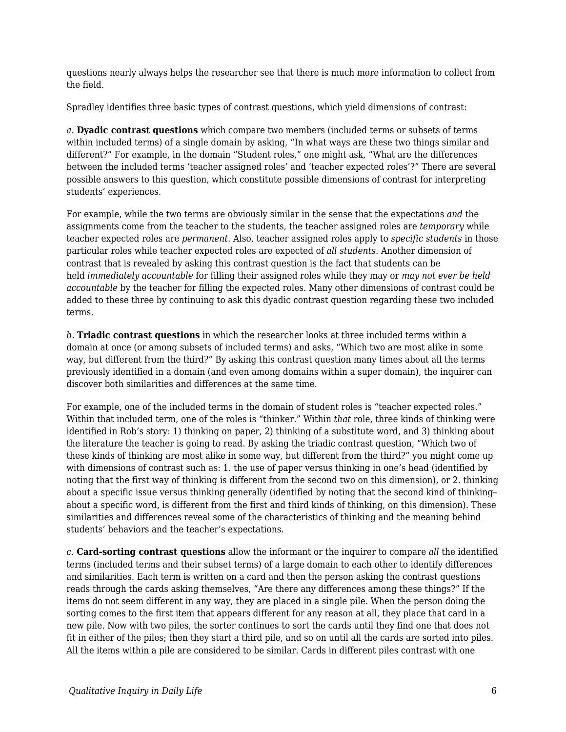questions nearly always helps the researcher see that there is much more information to collect from the field.

Spradley identifies three basic types of contrast questions, which yield dimensions of contrast:

*a.* **Dyadic contrast questions** which compare two members (included terms or subsets of terms within included terms) of a single domain by asking, "In what ways are these two things similar and different?" For example, in the domain "Student roles," one might ask, "What are the differences between the included terms 'teacher assigned roles' and 'teacher expected roles'?" There are several possible answers to this question, which constitute possible dimensions of contrast for interpreting students' experiences.

For example, while the two terms are obviously similar in the sense that the expectations *and* the assignments come from the teacher to the students, the teacher assigned roles are *temporary* while teacher expected roles are *permanent*. Also, teacher assigned roles apply to *specific students* in those particular roles while teacher expected roles are expected of *all students*. Another dimension of contrast that is revealed by asking this contrast question is the fact that students can be held *immediately accountable* for filling their assigned roles while they may or *may not ever be held accountable* by the teacher for filling the expected roles. Many other dimensions of contrast could be added to these three by continuing to ask this dyadic contrast question regarding these two included terms.

*b.* **Triadic contrast questions** in which the researcher looks at three included terms within a domain at once (or among subsets of included terms) and asks, "Which two are most alike in some way, but different from the third?" By asking this contrast question many times about all the terms previously identified in a domain (and even among domains within a super domain), the inquirer can discover both similarities and differences at the same time.

For example, one of the included terms in the domain of student roles is "teacher expected roles." Within that included term, one of the roles is "thinker." Within *that* role, three kinds of thinking were identified in Rob's story: 1) thinking on paper, 2) thinking of a substitute word, and 3) thinking about the literature the teacher is going to read. By asking the triadic contrast question, "Which two of these kinds of thinking are most alike in some way, but different from the third?" you might come up with dimensions of contrast such as: 1. the use of paper versus thinking in one's head (identified by noting that the first way of thinking is different from the second two on this dimension), or 2. thinking about a specific issue versus thinking generally (identified by noting that the second kind of thinking– about a specific word, is different from the first and third kinds of thinking, on this dimension). These similarities and differences reveal some of the characteristics of thinking and the meaning behind students' behaviors and the teacher's expectations.

*c.* **Card-sorting contrast questions** allow the informant or the inquirer to compare *all* the identified terms (included terms and their subset terms) of a large domain to each other to identify differences and similarities. Each term is written on a card and then the person asking the contrast questions reads through the cards asking themselves, "Are there any differences among these things?" If the items do not seem different in any way, they are placed in a single pile. When the person doing the sorting comes to the first item that appears different for any reason at all, they place that card in a new pile. Now with two piles, the sorter continues to sort the cards until they find one that does not fit in either of the piles; then they start a third pile, and so on until all the cards are sorted into piles. All the items within a pile are considered to be similar. Cards in different piles contrast with one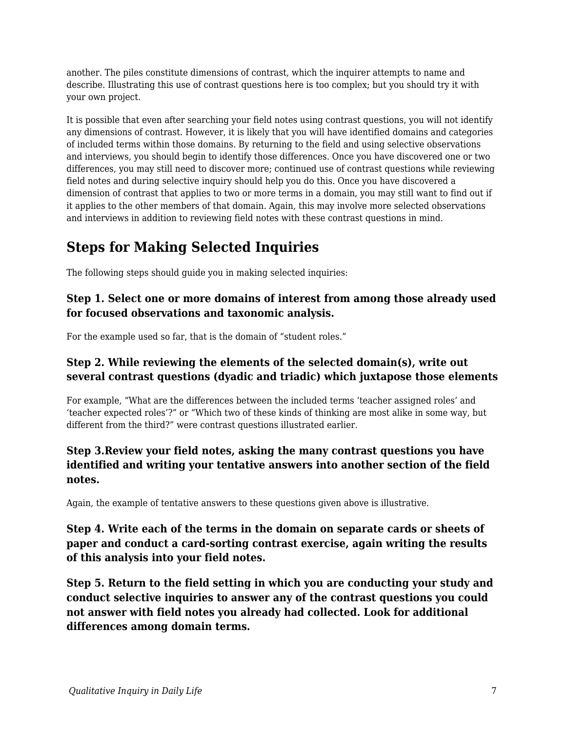another. The piles constitute dimensions of contrast, which the inquirer attempts to name and describe. Illustrating this use of contrast questions here is too complex; but you should try it with your own project.

It is possible that even after searching your field notes using contrast questions, you will not identify any dimensions of contrast. However, it is likely that you will have identified domains and categories of included terms within those domains. By returning to the field and using selective observations and interviews, you should begin to identify those differences. Once you have discovered one or two differences, you may still need to discover more; continued use of contrast questions while reviewing field notes and during selective inquiry should help you do this. Once you have discovered a dimension of contrast that applies to two or more terms in a domain, you may still want to find out if it applies to the other members of that domain. Again, this may involve more selected observations and interviews in addition to reviewing field notes with these contrast questions in mind.

## **Steps for Making Selected Inquiries**

The following steps should guide you in making selected inquiries:

### **Step 1. Select one or more domains of interest from among those already used for focused observations and taxonomic analysis.**

For the example used so far, that is the domain of "student roles."

## **Step 2. While reviewing the elements of the selected domain(s), write out several contrast questions (dyadic and triadic) which juxtapose those elements**

For example, "What are the differences between the included terms 'teacher assigned roles' and 'teacher expected roles'?" or "Which two of these kinds of thinking are most alike in some way, but different from the third?" were contrast questions illustrated earlier.

### **Step 3.Review your field notes, asking the many contrast questions you have identified and writing your tentative answers into another section of the field notes.**

Again, the example of tentative answers to these questions given above is illustrative.

### **Step 4. Write each of the terms in the domain on separate cards or sheets of paper and conduct a card-sorting contrast exercise, again writing the results of this analysis into your field notes.**

**Step 5. Return to the field setting in which you are conducting your study and conduct selective inquiries to answer any of the contrast questions you could not answer with field notes you already had collected. Look for additional differences among domain terms.**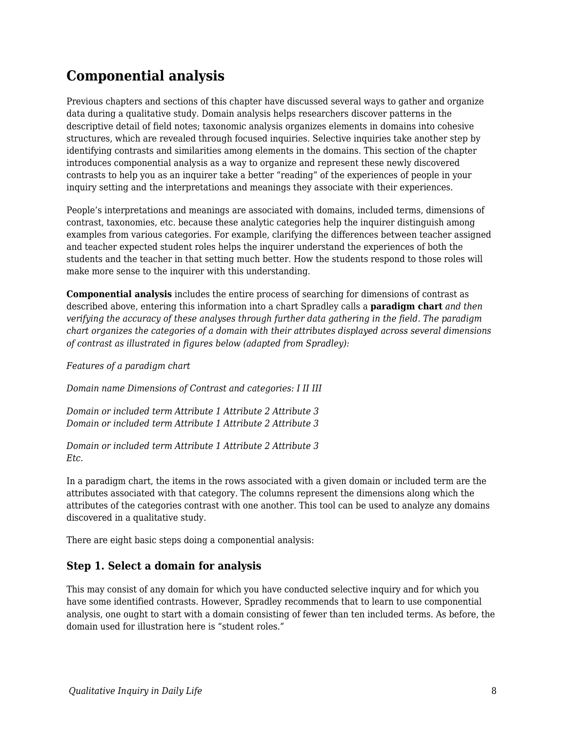## **Componential analysis**

Previous chapters and sections of this chapter have discussed several ways to gather and organize data during a qualitative study. Domain analysis helps researchers discover patterns in the descriptive detail of field notes; taxonomic analysis organizes elements in domains into cohesive structures, which are revealed through focused inquiries. Selective inquiries take another step by identifying contrasts and similarities among elements in the domains. This section of the chapter introduces componential analysis as a way to organize and represent these newly discovered contrasts to help you as an inquirer take a better "reading" of the experiences of people in your inquiry setting and the interpretations and meanings they associate with their experiences.

People's interpretations and meanings are associated with domains, included terms, dimensions of contrast, taxonomies, etc. because these analytic categories help the inquirer distinguish among examples from various categories. For example, clarifying the differences between teacher assigned and teacher expected student roles helps the inquirer understand the experiences of both the students and the teacher in that setting much better. How the students respond to those roles will make more sense to the inquirer with this understanding.

**Componential analysis** includes the entire process of searching for dimensions of contrast as described above, entering this information into a chart Spradley calls a **paradigm chart** *and then verifying the accuracy of these analyses through further data gathering in the field. The paradigm chart organizes the categories of a domain with their attributes displayed across several dimensions of contrast as illustrated in figures below (adapted from Spradley):*

*Features of a paradigm chart*

*Domain name Dimensions of Contrast and categories: I II III*

*Domain or included term Attribute 1 Attribute 2 Attribute 3 Domain or included term Attribute 1 Attribute 2 Attribute 3*

*Domain or included term Attribute 1 Attribute 2 Attribute 3 Etc.*

In a paradigm chart, the items in the rows associated with a given domain or included term are the attributes associated with that category. The columns represent the dimensions along which the attributes of the categories contrast with one another. This tool can be used to analyze any domains discovered in a qualitative study.

There are eight basic steps doing a componential analysis:

#### **Step 1. Select a domain for analysis**

This may consist of any domain for which you have conducted selective inquiry and for which you have some identified contrasts. However, Spradley recommends that to learn to use componential analysis, one ought to start with a domain consisting of fewer than ten included terms. As before, the domain used for illustration here is "student roles."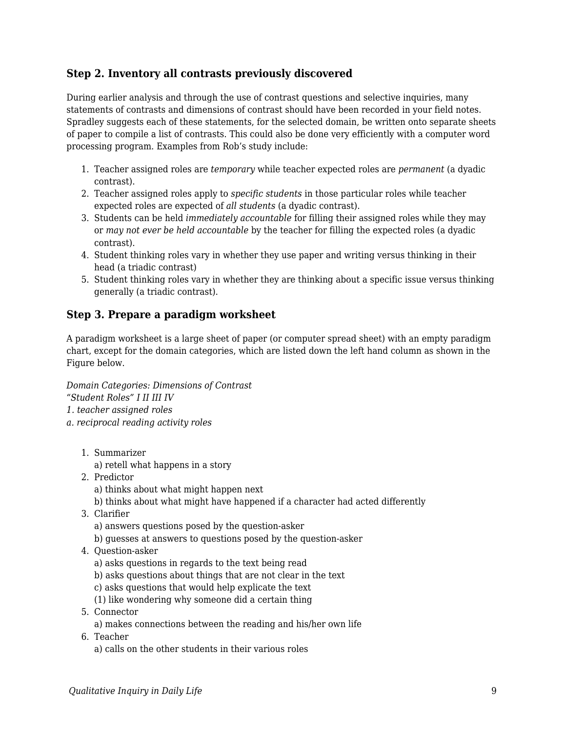#### **Step 2. Inventory all contrasts previously discovered**

During earlier analysis and through the use of contrast questions and selective inquiries, many statements of contrasts and dimensions of contrast should have been recorded in your field notes. Spradley suggests each of these statements, for the selected domain, be written onto separate sheets of paper to compile a list of contrasts. This could also be done very efficiently with a computer word processing program. Examples from Rob's study include:

- 1. Teacher assigned roles are *temporary* while teacher expected roles are *permanent* (a dyadic contrast).
- 2. Teacher assigned roles apply to *specific students* in those particular roles while teacher expected roles are expected of *all students* (a dyadic contrast).
- 3. Students can be held *immediately accountable* for filling their assigned roles while they may or *may not ever be held accountable* by the teacher for filling the expected roles (a dyadic contrast).
- 4. Student thinking roles vary in whether they use paper and writing versus thinking in their head (a triadic contrast)
- 5. Student thinking roles vary in whether they are thinking about a specific issue versus thinking generally (a triadic contrast).

#### **Step 3. Prepare a paradigm worksheet**

A paradigm worksheet is a large sheet of paper (or computer spread sheet) with an empty paradigm chart, except for the domain categories, which are listed down the left hand column as shown in the Figure below.

*Domain Categories: Dimensions of Contrast "Student Roles" I II III IV 1. teacher assigned roles a. reciprocal reading activity roles*

- 1. Summarizer
	- a) retell what happens in a story
- 2. Predictor
	- a) thinks about what might happen next
	- b) thinks about what might have happened if a character had acted differently
- 3. Clarifier
	- a) answers questions posed by the question-asker
	- b) guesses at answers to questions posed by the question-asker
- 4. Question-asker
	- a) asks questions in regards to the text being read
	- b) asks questions about things that are not clear in the text
	- c) asks questions that would help explicate the text
	- (1) like wondering why someone did a certain thing
- 5. Connector
- a) makes connections between the reading and his/her own life
- 6. Teacher
	- a) calls on the other students in their various roles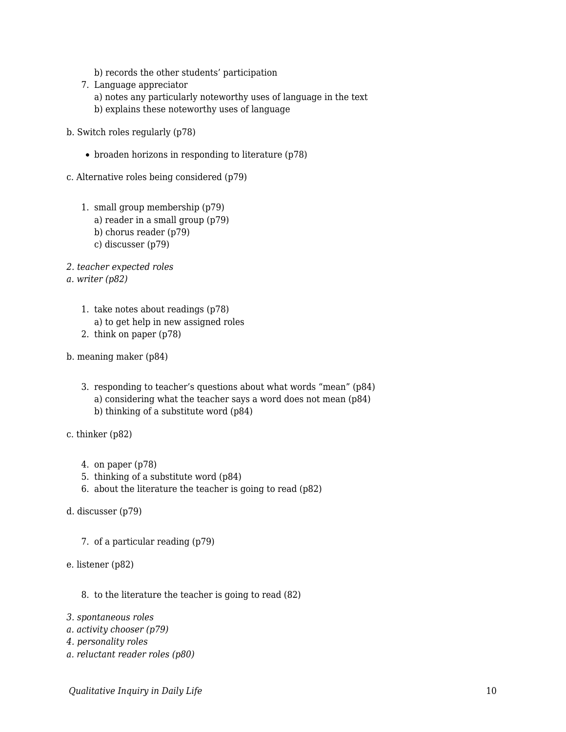- b) records the other students' participation
- 7. Language appreciator a) notes any particularly noteworthy uses of language in the text b) explains these noteworthy uses of language
- b. Switch roles regularly (p78)
	- $\bullet$  broaden horizons in responding to literature (p78)
- c. Alternative roles being considered (p79)
	- 1. small group membership (p79) a) reader in a small group (p79) b) chorus reader (p79) c) discusser (p79)
- *2. teacher expected roles*

*a. writer (p82)*

- 1. take notes about readings (p78) a) to get help in new assigned roles
- 2. think on paper (p78)
- b. meaning maker (p84)
	- 3. responding to teacher's questions about what words "mean" (p84) a) considering what the teacher says a word does not mean (p84) b) thinking of a substitute word (p84)
- c. thinker (p82)
	- 4. on paper (p78)
	- 5. thinking of a substitute word (p84)
	- 6. about the literature the teacher is going to read (p82)
- d. discusser (p79)
	- 7. of a particular reading (p79)
- e. listener (p82)
	- 8. to the literature the teacher is going to read (82)
- *3. spontaneous roles*
- *a. activity chooser (p79)*
- *4. personality roles*
- *a. reluctant reader roles (p80)*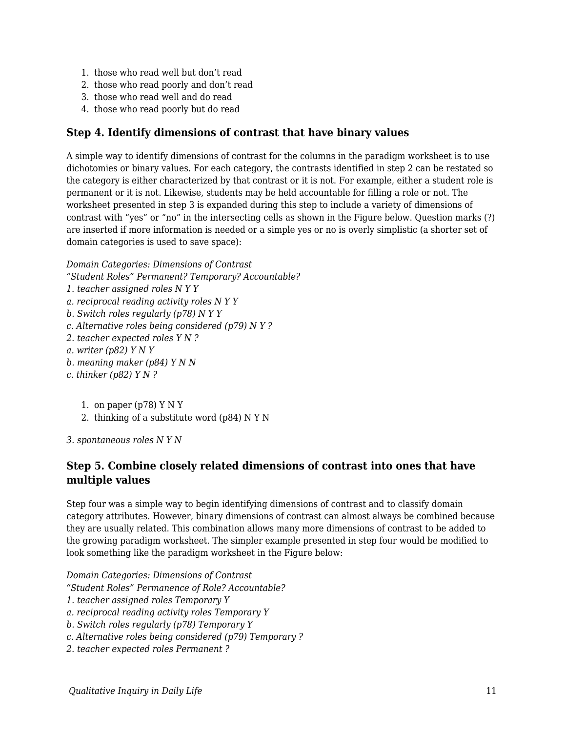- 1. those who read well but don't read
- 2. those who read poorly and don't read
- 3. those who read well and do read
- 4. those who read poorly but do read

#### **Step 4. Identify dimensions of contrast that have binary values**

A simple way to identify dimensions of contrast for the columns in the paradigm worksheet is to use dichotomies or binary values. For each category, the contrasts identified in step 2 can be restated so the category is either characterized by that contrast or it is not. For example, either a student role is permanent or it is not. Likewise, students may be held accountable for filling a role or not. The worksheet presented in step 3 is expanded during this step to include a variety of dimensions of contrast with "yes" or "no" in the intersecting cells as shown in the Figure below. Question marks (?) are inserted if more information is needed or a simple yes or no is overly simplistic (a shorter set of domain categories is used to save space):

*Domain Categories: Dimensions of Contrast*

*"Student Roles" Permanent? Temporary? Accountable?*

- *1. teacher assigned roles N Y Y*
- *a. reciprocal reading activity roles N Y Y*
- *b. Switch roles regularly (p78) N Y Y*
- *c. Alternative roles being considered (p79) N Y ?*
- *2. teacher expected roles Y N ?*
- *a. writer (p82) Y N Y*
- *b. meaning maker (p84) Y N N*
- *c. thinker (p82) Y N ?*

1. on paper  $(p78)$  Y N Y

2. thinking of a substitute word (p84) N Y N

*3. spontaneous roles N Y N*

#### **Step 5. Combine closely related dimensions of contrast into ones that have multiple values**

Step four was a simple way to begin identifying dimensions of contrast and to classify domain category attributes. However, binary dimensions of contrast can almost always be combined because they are usually related. This combination allows many more dimensions of contrast to be added to the growing paradigm worksheet. The simpler example presented in step four would be modified to look something like the paradigm worksheet in the Figure below:

*Domain Categories: Dimensions of Contrast*

- *"Student Roles" Permanence of Role? Accountable?*
- *1. teacher assigned roles Temporary Y*
- *a. reciprocal reading activity roles Temporary Y*
- *b. Switch roles regularly (p78) Temporary Y*
- *c. Alternative roles being considered (p79) Temporary ?*
- *2. teacher expected roles Permanent ?*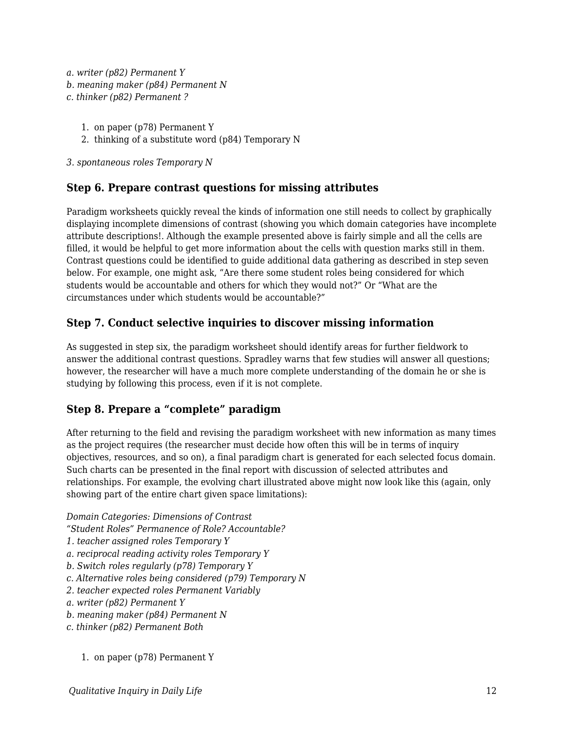*a. writer (p82) Permanent Y b. meaning maker (p84) Permanent N c. thinker (p82) Permanent ?*

- 1. on paper (p78) Permanent Y
- 2. thinking of a substitute word (p84) Temporary N

*3. spontaneous roles Temporary N*

#### **Step 6. Prepare contrast questions for missing attributes**

Paradigm worksheets quickly reveal the kinds of information one still needs to collect by graphically displaying incomplete dimensions of contrast (showing you which domain categories have incomplete attribute descriptions!. Although the example presented above is fairly simple and all the cells are filled, it would be helpful to get more information about the cells with question marks still in them. Contrast questions could be identified to guide additional data gathering as described in step seven below. For example, one might ask, "Are there some student roles being considered for which students would be accountable and others for which they would not?" Or "What are the circumstances under which students would be accountable?"

#### **Step 7. Conduct selective inquiries to discover missing information**

As suggested in step six, the paradigm worksheet should identify areas for further fieldwork to answer the additional contrast questions. Spradley warns that few studies will answer all questions; however, the researcher will have a much more complete understanding of the domain he or she is studying by following this process, even if it is not complete.

#### **Step 8. Prepare a "complete" paradigm**

After returning to the field and revising the paradigm worksheet with new information as many times as the project requires (the researcher must decide how often this will be in terms of inquiry objectives, resources, and so on), a final paradigm chart is generated for each selected focus domain. Such charts can be presented in the final report with discussion of selected attributes and relationships. For example, the evolving chart illustrated above might now look like this (again, only showing part of the entire chart given space limitations):

*Domain Categories: Dimensions of Contrast "Student Roles" Permanence of Role? Accountable?*

- *1. teacher assigned roles Temporary Y*
- *a. reciprocal reading activity roles Temporary Y*
- *b. Switch roles regularly (p78) Temporary Y*
- *c. Alternative roles being considered (p79) Temporary N*
- *2. teacher expected roles Permanent Variably*
- *a. writer (p82) Permanent Y*
- *b. meaning maker (p84) Permanent N*
- *c. thinker (p82) Permanent Both*
	- 1. on paper (p78) Permanent Y